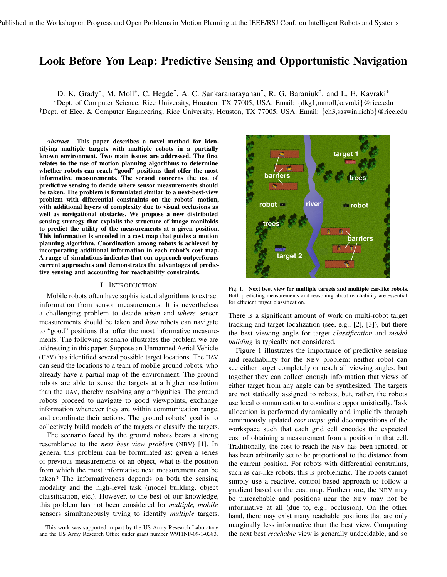## Look Before You Leap: Predictive Sensing and Opportunistic Navigation

D. K. Grady\*, M. Moll\*, C. Hegde†, A. C. Sankaranarayanan†, R. G. Baraniuk†, and L. E. Kavraki\*

<sup>∗</sup>Dept. of Computer Science, Rice University, Houston, TX 77005, USA. Email: {dkg1,mmoll,kavraki}@rice.edu †Dept. of Elec. & Computer Engineering, Rice University, Houston, TX 77005, USA. Email: {ch3,saswin,richb}@rice.edu

*Abstract*— This paper describes a novel method for identifying multiple targets with multiple robots in a partially known environment. Two main issues are addressed. The first relates to the use of motion planning algorithms to determine whether robots can reach "good" positions that offer the most informative measurements. The second concerns the use of predictive sensing to decide where sensor measurements should be taken. The problem is formulated similar to a next-best-view problem with differential constraints on the robots' motion, with additional layers of complexity due to visual occlusions as well as navigational obstacles. We propose a new distributed sensing strategy that exploits the structure of image manifolds to predict the utility of the measurements at a given position. This information is encoded in a cost map that guides a motion planning algorithm. Coordination among robots is achieved by incorporating additional information in each robot's cost map. A range of simulations indicates that our approach outperforms current approaches and demonstrates the advantages of predictive sensing and accounting for reachability constraints.

## I. INTRODUCTION

Mobile robots often have sophisticated algorithms to extract information from sensor measurements. It is nevertheless a challenging problem to decide *when* and *where* sensor measurements should be taken and *how* robots can navigate to "good" positions that offer the most informative measurements. The following scenario illustrates the problem we are addressing in this paper. Suppose an Unmanned Aerial Vehicle (UAV) has identified several possible target locations. The UAV can send the locations to a team of mobile ground robots, who already have a partial map of the environment. The ground robots are able to sense the targets at a higher resolution than the UAV, thereby resolving any ambiguities. The ground robots proceed to navigate to good viewpoints, exchange information whenever they are within communication range, and coordinate their actions. The ground robots' goal is to collectively build models of the targets or classify the targets.

The scenario faced by the ground robots bears a strong resemblance to the *next best view problem* (NBV) [1]. In general this problem can be formulated as: given a series of previous measurements of an object, what is the position from which the most informative next measurement can be taken? The informativeness depends on both the sensing modality and the high-level task (model building, object classification, etc.). However, to the best of our knowledge, this problem has not been considered for *multiple, mobile* sensors simultaneously trying to identify *multiple* targets.



Fig. 1. Next best view for multiple targets and multiple car-like robots. Both predicting measurements and reasoning about reachability are essential for efficient target classification.

There is a significant amount of work on multi-robot target tracking and target localization (see, e.g., [2], [3]), but there the best viewing angle for target *classification* and *model building* is typically not considered.

Figure 1 illustrates the importance of predictive sensing and reachability for the NBV problem: neither robot can see either target completely or reach all viewing angles, but together they can collect enough information that views of either target from any angle can be synthesized. The targets are not statically assigned to robots, but, rather, the robots use local communication to coordinate opportunistically. Task allocation is performed dynamically and implicitly through continuously updated *cost maps*: grid decompositions of the workspace such that each grid cell encodes the expected cost of obtaining a measurement from a position in that cell. Traditionally, the cost to reach the NBV has been ignored, or has been arbitrarily set to be proportional to the distance from the current position. For robots with differential constraints, such as car-like robots, this is problematic. The robots cannot simply use a reactive, control-based approach to follow a gradient based on the cost map. Furthermore, the NBV may be unreachable and positions near the NBV may not be informative at all (due to, e.g., occlusion). On the other hand, there may exist many reachable positions that are only marginally less informative than the best view. Computing the next best *reachable* view is generally undecidable, and so

This work was supported in part by the US Army Research Laboratory and the US Army Research Office under grant number W911NF-09-1-0383.